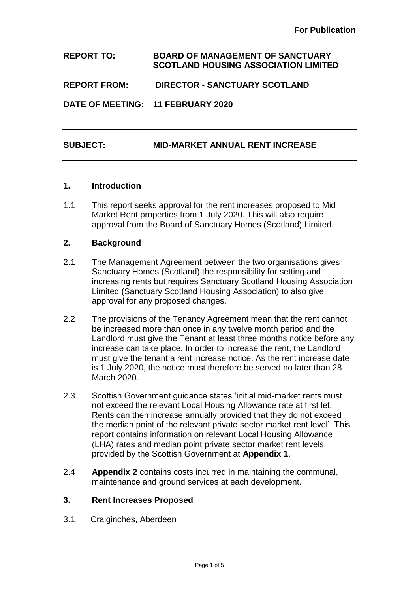**REPORT TO: BOARD OF MANAGEMENT OF SANCTUARY SCOTLAND HOUSING ASSOCIATION LIMITED**

**REPORT FROM: DIRECTOR - SANCTUARY SCOTLAND**

**DATE OF MEETING: 11 FEBRUARY 2020**

## **SUBJECT: MID-MARKET ANNUAL RENT INCREASE**

#### **1. Introduction**

1.1 This report seeks approval for the rent increases proposed to Mid Market Rent properties from 1 July 2020. This will also require approval from the Board of Sanctuary Homes (Scotland) Limited.

#### **2. Background**

- 2.1 The Management Agreement between the two organisations gives Sanctuary Homes (Scotland) the responsibility for setting and increasing rents but requires Sanctuary Scotland Housing Association Limited (Sanctuary Scotland Housing Association) to also give approval for any proposed changes.
- 2.2 The provisions of the Tenancy Agreement mean that the rent cannot be increased more than once in any twelve month period and the Landlord must give the Tenant at least three months notice before any increase can take place. In order to increase the rent, the Landlord must give the tenant a rent increase notice. As the rent increase date is 1 July 2020, the notice must therefore be served no later than 28 March 2020.
- 2.3 Scottish Government guidance states 'initial mid-market rents must not exceed the relevant Local Housing Allowance rate at first let. Rents can then increase annually provided that they do not exceed the median point of the relevant private sector market rent level'. This report contains information on relevant Local Housing Allowance (LHA) rates and median point private sector market rent levels provided by the Scottish Government at **Appendix 1**.
- 2.4 **Appendix 2** contains costs incurred in maintaining the communal, maintenance and ground services at each development.

#### **3. Rent Increases Proposed**

3.1 Craiginches, Aberdeen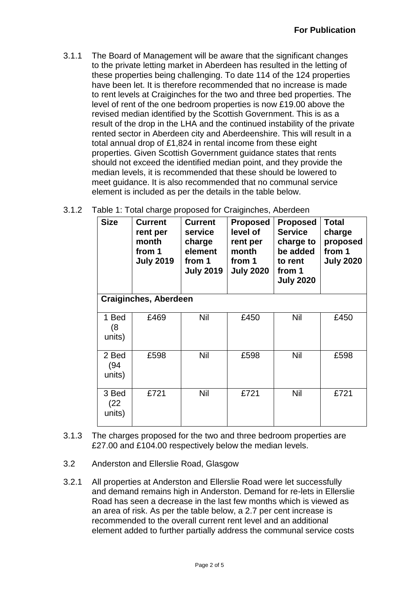3.1.1 The Board of Management will be aware that the significant changes to the private letting market in Aberdeen has resulted in the letting of these properties being challenging. To date 114 of the 124 properties have been let. It is therefore recommended that no increase is made to rent levels at Craiginches for the two and three bed properties. The level of rent of the one bedroom properties is now £19.00 above the revised median identified by the Scottish Government. This is as a result of the drop in the LHA and the continued instability of the private rented sector in Aberdeen city and Aberdeenshire. This will result in a total annual drop of £1,824 in rental income from these eight properties. Given Scottish Government guidance states that rents should not exceed the identified median point, and they provide the median levels, it is recommended that these should be lowered to meet guidance. It is also recommended that no communal service element is included as per the details in the table below.

| 3.1.2 Table 1: Total charge proposed for Craiginches, Aberdeen |  |  |  |  |
|----------------------------------------------------------------|--|--|--|--|
|                                                                |  |  |  |  |

| <b>Size</b>             | <b>Current</b><br>rent per<br>month<br>from 1<br><b>July 2019</b> | <b>Current</b><br>service<br>charge<br>element<br>from 1<br><b>July 2019</b> | <b>Proposed</b><br>level of<br>rent per<br>month<br>from 1<br><b>July 2020</b> | <b>Proposed</b><br><b>Service</b><br>charge to<br>be added<br>to rent<br>from 1<br><b>July 2020</b> | <b>Total</b><br>charge<br>proposed<br>from 1<br><b>July 2020</b> |
|-------------------------|-------------------------------------------------------------------|------------------------------------------------------------------------------|--------------------------------------------------------------------------------|-----------------------------------------------------------------------------------------------------|------------------------------------------------------------------|
|                         | <b>Craiginches, Aberdeen</b>                                      |                                                                              |                                                                                |                                                                                                     |                                                                  |
| 1 Bed<br>(8)<br>units)  | £469                                                              | Nil                                                                          | £450                                                                           | Nil                                                                                                 | £450                                                             |
| 2 Bed<br>(94)<br>units) | £598                                                              | Nil                                                                          | £598                                                                           | Nil                                                                                                 | £598                                                             |
| 3 Bed<br>(22)<br>units) | £721                                                              | Nil                                                                          | £721                                                                           | Nil                                                                                                 | £721                                                             |

- 3.1.3 The charges proposed for the two and three bedroom properties are £27.00 and £104.00 respectively below the median levels.
- 3.2 Anderston and Ellerslie Road, Glasgow
- 3.2.1 All properties at Anderston and Ellerslie Road were let successfully and demand remains high in Anderston. Demand for re-lets in Ellerslie Road has seen a decrease in the last few months which is viewed as an area of risk. As per the table below, a 2.7 per cent increase is recommended to the overall current rent level and an additional element added to further partially address the communal service costs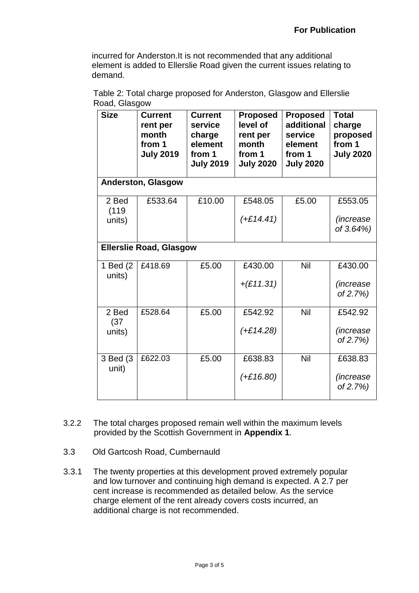Nil £542.92

Nil £638.83

*(increase of 2.7%)*

*(increase of 2.7%)*

incurred for Anderston.It is not recommended that any additional element is added to Ellerslie Road given the current issues relating to demand.

| <b>Size</b>         | <b>Current</b><br>rent per<br>month<br>from 1<br><b>July 2019</b> | <b>Current</b><br>service<br>charge<br>element<br>from 1<br><b>July 2019</b> | <b>Proposed</b><br>level of<br>rent per<br>month<br>from 1<br><b>July 2020</b> | <b>Proposed</b><br>additional<br>service<br>element<br>from 1<br><b>July 2020</b> | Total<br>charge<br>proposed<br>from 1<br><b>July 2020</b> |
|---------------------|-------------------------------------------------------------------|------------------------------------------------------------------------------|--------------------------------------------------------------------------------|-----------------------------------------------------------------------------------|-----------------------------------------------------------|
|                     | <b>Anderston, Glasgow</b>                                         |                                                                              |                                                                                |                                                                                   |                                                           |
| 2 Bed<br>(119       | £533.64                                                           | £10.00                                                                       | £548.05                                                                        | £5.00                                                                             | £553.05                                                   |
| units)              |                                                                   |                                                                              | $(+£14.41)$                                                                    |                                                                                   | (increase                                                 |
|                     |                                                                   |                                                                              |                                                                                |                                                                                   | of 3.64%)                                                 |
|                     | <b>Ellerslie Road, Glasgow</b>                                    |                                                                              |                                                                                |                                                                                   |                                                           |
| 1 Bed (2)<br>units) | £418.69                                                           | £5.00                                                                        | £430.00                                                                        | Nil                                                                               | £430.00                                                   |
|                     |                                                                   |                                                                              | $+(£11.31)$                                                                    |                                                                                   | (increase<br>of 2.7%)                                     |

*(+£14.28)*

*(+£16.80)*

Table 2: Total charge proposed for Anderston, Glasgow and Ellerslie Road, Glasgow

| 3.2.2 | The total charges proposed remain well within the maximum levels |
|-------|------------------------------------------------------------------|
|       | provided by the Scottish Government in Appendix 1.               |

£528.64 £5.00 £542.92

£622.03 £5.00 £638.83

3.3 Old Gartcosh Road, Cumbernauld

2 Bed (37 units)

3 Bed (3 unit)

3.3.1 The twenty properties at this development proved extremely popular and low turnover and continuing high demand is expected. A 2.7 per cent increase is recommended as detailed below. As the service charge element of the rent already covers costs incurred, an additional charge is not recommended.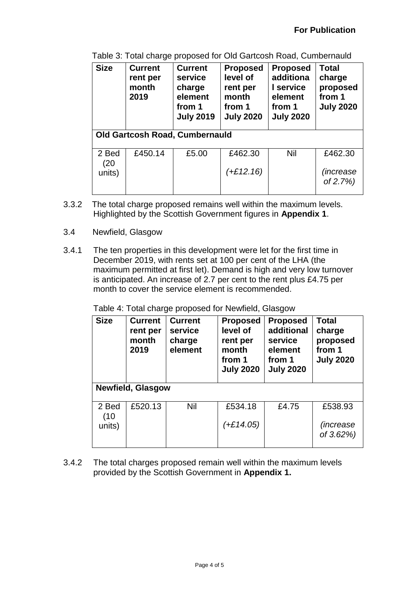| <b>Size</b>                           | <b>Current</b><br><b>Current</b><br>rent per<br>service<br>month<br>charge<br>element<br>2019<br>from 1<br><b>July 2019</b> |       | <b>Proposed</b><br>level of<br>rent per<br>month<br>from 1<br><b>July 2020</b> | <b>Proposed</b><br>additiona<br>I service<br>element<br>from 1<br><b>July 2020</b> | <b>Total</b><br>charge<br>proposed<br>from 1<br><b>July 2020</b> |  |
|---------------------------------------|-----------------------------------------------------------------------------------------------------------------------------|-------|--------------------------------------------------------------------------------|------------------------------------------------------------------------------------|------------------------------------------------------------------|--|
| <b>Old Gartcosh Road, Cumbernauld</b> |                                                                                                                             |       |                                                                                |                                                                                    |                                                                  |  |
| 2 Bed<br>(20                          | £450.14                                                                                                                     | £5.00 | £462.30                                                                        | Nil                                                                                | £462.30                                                          |  |
| units)                                |                                                                                                                             |       | $(+£12.16)$                                                                    |                                                                                    | (increase<br>of 2.7%)                                            |  |

Table 3: Total charge proposed for Old Gartcosh Road, Cumbernauld

- 3.3.2 The total charge proposed remains well within the maximum levels. Highlighted by the Scottish Government figures in **Appendix 1**.
- 3.4 Newfield, Glasgow
- 3.4.1 The ten properties in this development were let for the first time in December 2019, with rents set at 100 per cent of the LHA (the maximum permitted at first let). Demand is high and very low turnover is anticipated. An increase of 2.7 per cent to the rent plus £4.75 per month to cover the service element is recommended.

| <b>Size</b>              | <b>Current</b><br>rent per<br>month<br>2019 | <b>Current</b><br>service<br>charge<br>element | <b>Proposed</b><br>level of<br>rent per<br>month<br>from 1<br><b>July 2020</b> | <b>Proposed</b><br>additional<br>service<br>element<br>from 1<br><b>July 2020</b> | <b>Total</b><br>charge<br>proposed<br>from 1<br><b>July 2020</b> |  |
|--------------------------|---------------------------------------------|------------------------------------------------|--------------------------------------------------------------------------------|-----------------------------------------------------------------------------------|------------------------------------------------------------------|--|
| <b>Newfield, Glasgow</b> |                                             |                                                |                                                                                |                                                                                   |                                                                  |  |
| 2 Bed<br>(10)            | £520.13                                     | Nil                                            | £534.18                                                                        | £4.75                                                                             | £538.93                                                          |  |
| units)                   |                                             |                                                | $(+£14.05)$                                                                    |                                                                                   | <i>(increase)</i><br>of 3.62%)                                   |  |

Table 4: Total charge proposed for Newfield, Glasgow

3.4.2 The total charges proposed remain well within the maximum levels provided by the Scottish Government in **Appendix 1.**